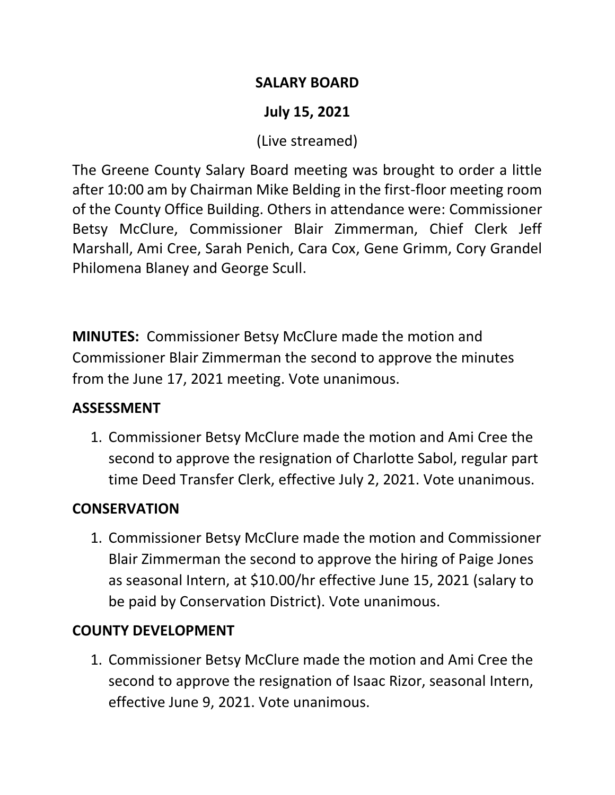#### **SALARY BOARD**

# **July 15, 2021**

(Live streamed)

The Greene County Salary Board meeting was brought to order a little after 10:00 am by Chairman Mike Belding in the first-floor meeting room of the County Office Building. Others in attendance were: Commissioner Betsy McClure, Commissioner Blair Zimmerman, Chief Clerk Jeff Marshall, Ami Cree, Sarah Penich, Cara Cox, Gene Grimm, Cory Grandel Philomena Blaney and George Scull.

**MINUTES:** Commissioner Betsy McClure made the motion and Commissioner Blair Zimmerman the second to approve the minutes from the June 17, 2021 meeting. Vote unanimous.

### **ASSESSMENT**

1. Commissioner Betsy McClure made the motion and Ami Cree the second to approve the resignation of Charlotte Sabol, regular part time Deed Transfer Clerk, effective July 2, 2021. Vote unanimous.

### **CONSERVATION**

1. Commissioner Betsy McClure made the motion and Commissioner Blair Zimmerman the second to approve the hiring of Paige Jones as seasonal Intern, at \$10.00/hr effective June 15, 2021 (salary to be paid by Conservation District). Vote unanimous.

# **COUNTY DEVELOPMENT**

1. Commissioner Betsy McClure made the motion and Ami Cree the second to approve the resignation of Isaac Rizor, seasonal Intern, effective June 9, 2021. Vote unanimous.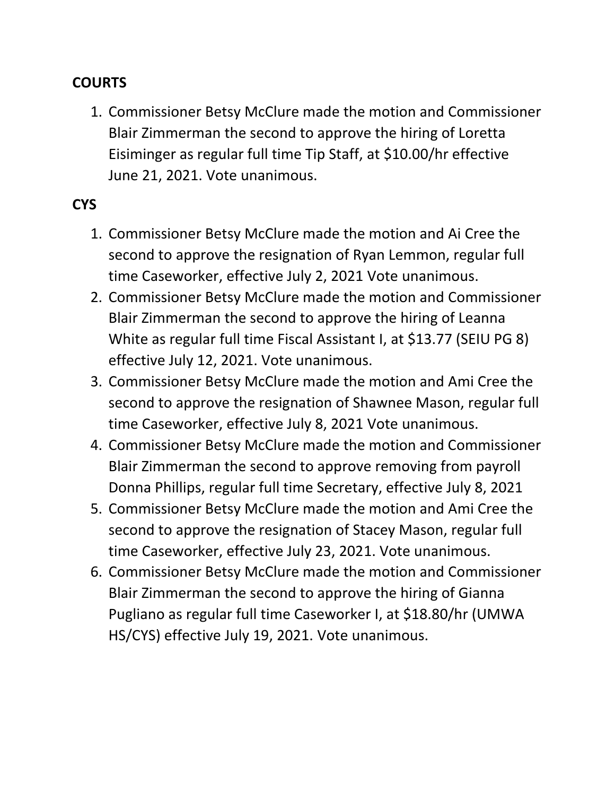## **COURTS**

1. Commissioner Betsy McClure made the motion and Commissioner Blair Zimmerman the second to approve the hiring of Loretta Eisiminger as regular full time Tip Staff, at \$10.00/hr effective June 21, 2021. Vote unanimous.

### **CYS**

- 1. Commissioner Betsy McClure made the motion and Ai Cree the second to approve the resignation of Ryan Lemmon, regular full time Caseworker, effective July 2, 2021 Vote unanimous.
- 2. Commissioner Betsy McClure made the motion and Commissioner Blair Zimmerman the second to approve the hiring of Leanna White as regular full time Fiscal Assistant I, at \$13.77 (SEIU PG 8) effective July 12, 2021. Vote unanimous.
- 3. Commissioner Betsy McClure made the motion and Ami Cree the second to approve the resignation of Shawnee Mason, regular full time Caseworker, effective July 8, 2021 Vote unanimous.
- 4. Commissioner Betsy McClure made the motion and Commissioner Blair Zimmerman the second to approve removing from payroll Donna Phillips, regular full time Secretary, effective July 8, 2021
- 5. Commissioner Betsy McClure made the motion and Ami Cree the second to approve the resignation of Stacey Mason, regular full time Caseworker, effective July 23, 2021. Vote unanimous.
- 6. Commissioner Betsy McClure made the motion and Commissioner Blair Zimmerman the second to approve the hiring of Gianna Pugliano as regular full time Caseworker I, at \$18.80/hr (UMWA HS/CYS) effective July 19, 2021. Vote unanimous.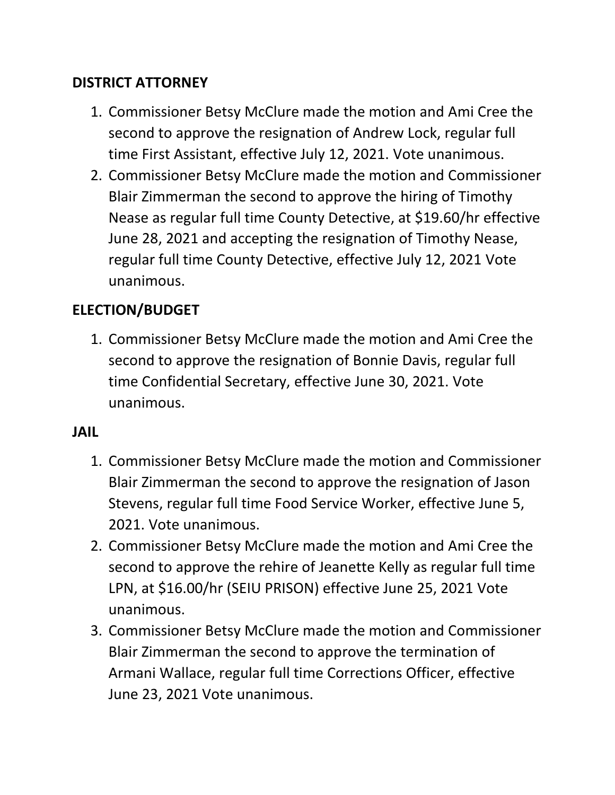## **DISTRICT ATTORNEY**

- 1. Commissioner Betsy McClure made the motion and Ami Cree the second to approve the resignation of Andrew Lock, regular full time First Assistant, effective July 12, 2021. Vote unanimous.
- 2. Commissioner Betsy McClure made the motion and Commissioner Blair Zimmerman the second to approve the hiring of Timothy Nease as regular full time County Detective, at \$19.60/hr effective June 28, 2021 and accepting the resignation of Timothy Nease, regular full time County Detective, effective July 12, 2021 Vote unanimous.

# **ELECTION/BUDGET**

1. Commissioner Betsy McClure made the motion and Ami Cree the second to approve the resignation of Bonnie Davis, regular full time Confidential Secretary, effective June 30, 2021. Vote unanimous.

### **JAIL**

- 1. Commissioner Betsy McClure made the motion and Commissioner Blair Zimmerman the second to approve the resignation of Jason Stevens, regular full time Food Service Worker, effective June 5, 2021. Vote unanimous.
- 2. Commissioner Betsy McClure made the motion and Ami Cree the second to approve the rehire of Jeanette Kelly as regular full time LPN, at \$16.00/hr (SEIU PRISON) effective June 25, 2021 Vote unanimous.
- 3. Commissioner Betsy McClure made the motion and Commissioner Blair Zimmerman the second to approve the termination of Armani Wallace, regular full time Corrections Officer, effective June 23, 2021 Vote unanimous.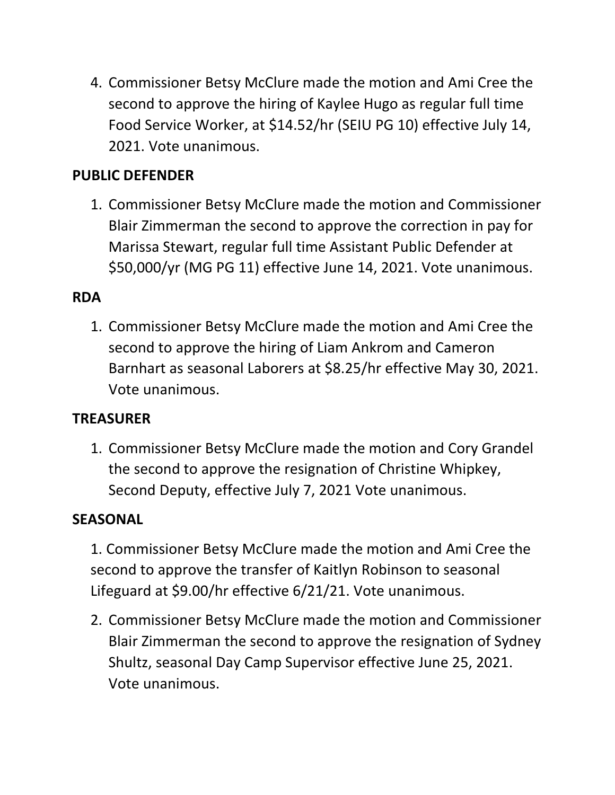4. Commissioner Betsy McClure made the motion and Ami Cree the second to approve the hiring of Kaylee Hugo as regular full time Food Service Worker, at \$14.52/hr (SEIU PG 10) effective July 14, 2021. Vote unanimous.

# **PUBLIC DEFENDER**

1. Commissioner Betsy McClure made the motion and Commissioner Blair Zimmerman the second to approve the correction in pay for Marissa Stewart, regular full time Assistant Public Defender at \$50,000/yr (MG PG 11) effective June 14, 2021. Vote unanimous.

#### **RDA**

1. Commissioner Betsy McClure made the motion and Ami Cree the second to approve the hiring of Liam Ankrom and Cameron Barnhart as seasonal Laborers at \$8.25/hr effective May 30, 2021. Vote unanimous.

### **TREASURER**

1. Commissioner Betsy McClure made the motion and Cory Grandel the second to approve the resignation of Christine Whipkey, Second Deputy, effective July 7, 2021 Vote unanimous.

#### **SEASONAL**

1. Commissioner Betsy McClure made the motion and Ami Cree the second to approve the transfer of Kaitlyn Robinson to seasonal Lifeguard at \$9.00/hr effective 6/21/21. Vote unanimous.

2. Commissioner Betsy McClure made the motion and Commissioner Blair Zimmerman the second to approve the resignation of Sydney Shultz, seasonal Day Camp Supervisor effective June 25, 2021. Vote unanimous.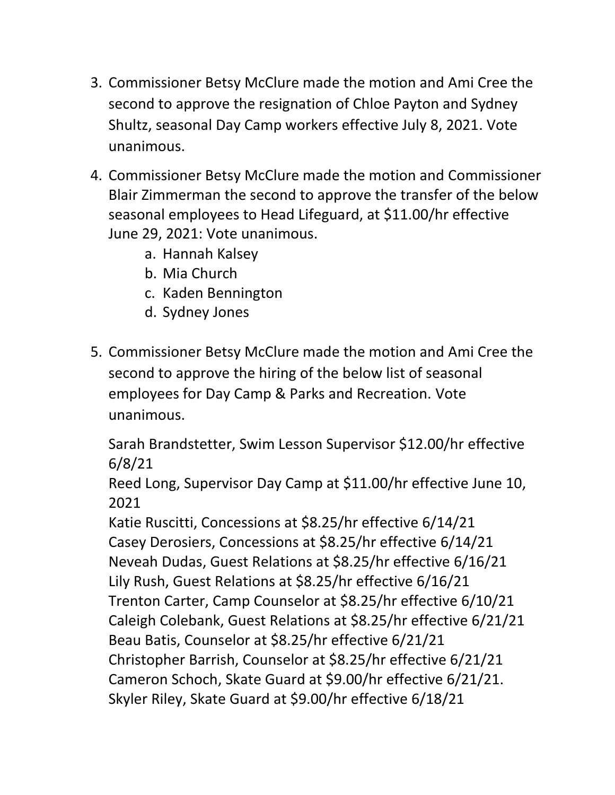- 3. Commissioner Betsy McClure made the motion and Ami Cree the second to approve the resignation of Chloe Payton and Sydney Shultz, seasonal Day Camp workers effective July 8, 2021. Vote unanimous.
- 4. Commissioner Betsy McClure made the motion and Commissioner Blair Zimmerman the second to approve the transfer of the below seasonal employees to Head Lifeguard, at \$11.00/hr effective June 29, 2021: Vote unanimous.
	- a. Hannah Kalsey
	- b. Mia Church
	- c. Kaden Bennington
	- d. Sydney Jones
- 5. Commissioner Betsy McClure made the motion and Ami Cree the second to approve the hiring of the below list of seasonal employees for Day Camp & Parks and Recreation. Vote unanimous.

Sarah Brandstetter, Swim Lesson Supervisor \$12.00/hr effective 6/8/21

Reed Long, Supervisor Day Camp at \$11.00/hr effective June 10, 2021

Katie Ruscitti, Concessions at \$8.25/hr effective 6/14/21 Casey Derosiers, Concessions at \$8.25/hr effective 6/14/21 Neveah Dudas, Guest Relations at \$8.25/hr effective 6/16/21 Lily Rush, Guest Relations at \$8.25/hr effective 6/16/21 Trenton Carter, Camp Counselor at \$8.25/hr effective 6/10/21 Caleigh Colebank, Guest Relations at \$8.25/hr effective 6/21/21 Beau Batis, Counselor at \$8.25/hr effective 6/21/21 Christopher Barrish, Counselor at \$8.25/hr effective 6/21/21 Cameron Schoch, Skate Guard at \$9.00/hr effective 6/21/21. Skyler Riley, Skate Guard at \$9.00/hr effective 6/18/21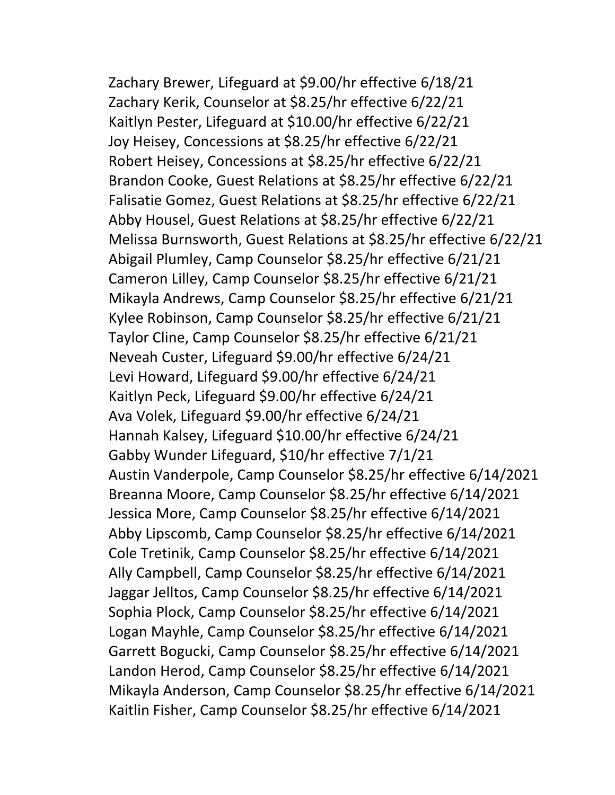Zachary Brewer, Lifeguard at \$9.00/hr effective 6/18/21 Zachary Kerik, Counselor at \$8.25/hr effective 6/22/21 Kaitlyn Pester, Lifeguard at \$10.00/hr effective 6/22/21 Joy Heisey, Concessions at \$8.25/hr effective 6/22/21 Robert Heisey, Concessions at \$8.25/hr effective 6/22/21 Brandon Cooke, Guest Relations at \$8.25/hr effective 6/22/21 Falisatie Gomez, Guest Relations at \$8.25/hr effective 6/22/21 Abby Housel, Guest Relations at \$8.25/hr effective 6/22/21 Melissa Burnsworth, Guest Relations at \$8.25/hr effective 6/22/21 Abigail Plumley, Camp Counselor \$8.25/hr effective 6/21/21 Cameron Lilley, Camp Counselor \$8.25/hr effective 6/21/21 Mikayla Andrews, Camp Counselor \$8.25/hr effective 6/21/21 Kylee Robinson, Camp Counselor \$8.25/hr effective 6/21/21 Taylor Cline, Camp Counselor \$8.25/hr effective 6/21/21 Neveah Custer, Lifeguard \$9.00/hr effective 6/24/21 Levi Howard, Lifeguard \$9.00/hr effective 6/24/21 Kaitlyn Peck, Lifeguard \$9.00/hr effective 6/24/21 Ava Volek, Lifeguard \$9.00/hr effective 6/24/21 Hannah Kalsey, Lifeguard \$10.00/hr effective 6/24/21 Gabby Wunder Lifeguard, \$10/hr effective 7/1/21 Austin Vanderpole, Camp Counselor \$8.25/hr effective 6/14/2021 Breanna Moore, Camp Counselor \$8.25/hr effective 6/14/2021 Jessica More, Camp Counselor \$8.25/hr effective 6/14/2021 Abby Lipscomb, Camp Counselor \$8.25/hr effective 6/14/2021 Cole Tretinik, Camp Counselor \$8.25/hr effective 6/14/2021 Ally Campbell, Camp Counselor \$8.25/hr effective 6/14/2021 Jaggar Jelltos, Camp Counselor \$8.25/hr effective 6/14/2021 Sophia Plock, Camp Counselor \$8.25/hr effective 6/14/2021 Logan Mayhle, Camp Counselor \$8.25/hr effective 6/14/2021 Garrett Bogucki, Camp Counselor \$8.25/hr effective 6/14/2021 Landon Herod, Camp Counselor \$8.25/hr effective 6/14/2021 Mikayla Anderson, Camp Counselor \$8.25/hr effective 6/14/2021 Kaitlin Fisher, Camp Counselor \$8.25/hr effective 6/14/2021